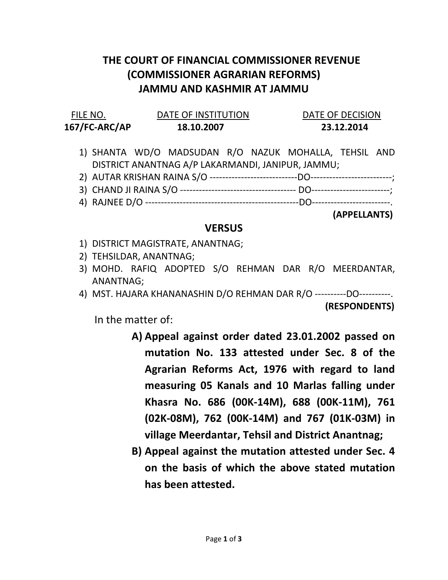## THE COURT OF FINANCIAL COMMISSIONER REVENUE (COMMISSIONER AGRARIAN REFORMS) JAMMU AND KASHMIR AT JAMMU

| FILE NO.      | DATE OF INSTITUTION | DATE OF DECISION |
|---------------|---------------------|------------------|
| 167/FC-ARC/AP | 18.10.2007          | 23.12.2014       |

- 1) SHANTA WD/O MADSUDAN R/O NAZUK MOHALLA, TEHSIL AND DISTRICT ANANTNAG A/P LAKARMANDI, JANIPUR, JAMMU;
- 2) AUTAR KRISHAN RAINA S/O ----------------------------DO--------------------------;
- 3) CHAND JI RAINA S/O ------------------------------------- DO-------------------------;
- 4) RAJNEE D/O -------------------------------------------------DO-------------------------.

(APPELLANTS)

## **VERSUS**

- 1) DISTRICT MAGISTRATE, ANANTNAG;
- 2) TEHSILDAR, ANANTNAG;
- 3) MOHD. RAFIQ ADOPTED S/O REHMAN DAR R/O MEERDANTAR, ANANTNAG;
- 4) MST. HAJARA KHANANASHIN D/O REHMAN DAR R/O ----------DO----------. (RESPONDENTS)

In the matter of:

- A) Appeal against order dated 23.01.2002 passed on mutation No. 133 attested under Sec. 8 of the Agrarian Reforms Act, 1976 with regard to land measuring 05 Kanals and 10 Marlas falling under Khasra No. 686 (00K-14M), 688 (00K-11M), 761 (02K-08M), 762 (00K-14M) and 767 (01K-03M) in village Meerdantar, Tehsil and District Anantnag;
- B) Appeal against the mutation attested under Sec. 4 on the basis of which the above stated mutation has been attested.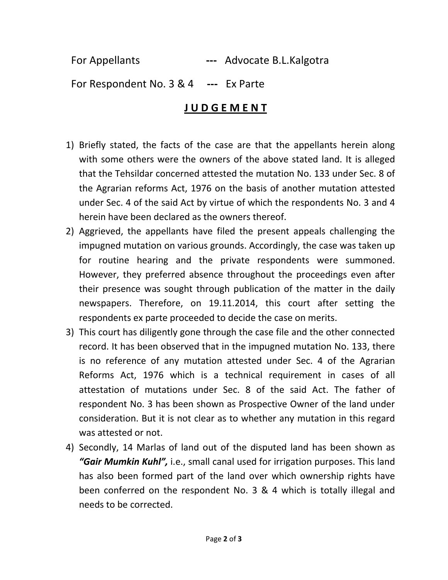For Appellants --- Advocate B.L.Kalgotra

For Respondent No. 3 & 4 --- Ex Parte

## J U D G E M E N T

- 1) Briefly stated, the facts of the case are that the appellants herein along with some others were the owners of the above stated land. It is alleged that the Tehsildar concerned attested the mutation No. 133 under Sec. 8 of the Agrarian reforms Act, 1976 on the basis of another mutation attested under Sec. 4 of the said Act by virtue of which the respondents No. 3 and 4 herein have been declared as the owners thereof.
- 2) Aggrieved, the appellants have filed the present appeals challenging the impugned mutation on various grounds. Accordingly, the case was taken up for routine hearing and the private respondents were summoned. However, they preferred absence throughout the proceedings even after their presence was sought through publication of the matter in the daily newspapers. Therefore, on 19.11.2014, this court after setting the respondents ex parte proceeded to decide the case on merits.
- 3) This court has diligently gone through the case file and the other connected record. It has been observed that in the impugned mutation No. 133, there is no reference of any mutation attested under Sec. 4 of the Agrarian Reforms Act, 1976 which is a technical requirement in cases of all attestation of mutations under Sec. 8 of the said Act. The father of respondent No. 3 has been shown as Prospective Owner of the land under consideration. But it is not clear as to whether any mutation in this regard was attested or not.
- 4) Secondly, 14 Marlas of land out of the disputed land has been shown as "Gair Mumkin Kuhl", i.e., small canal used for irrigation purposes. This land has also been formed part of the land over which ownership rights have been conferred on the respondent No. 3 & 4 which is totally illegal and needs to be corrected.